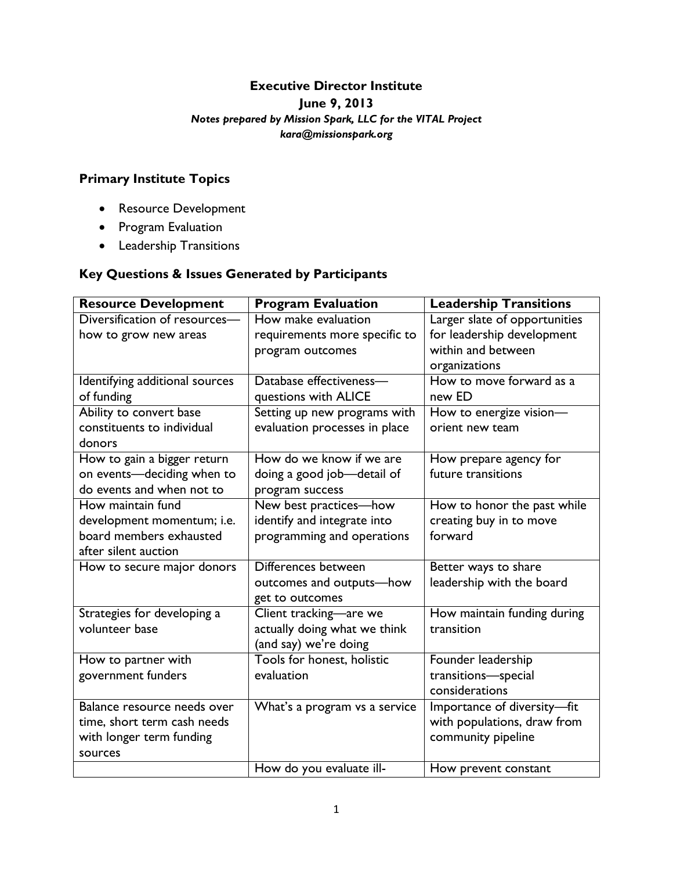#### **Executive Director Institute**

**June 9, 2013**

### *Notes prepared by Mission Spark, LLC for the VITAL Project*

*kara@missionspark.org*

# **Primary Institute Topics**

- Resource Development
- Program Evaluation
- Leadership Transitions

# **Key Questions & Issues Generated by Participants**

| <b>Resource Development</b>    | <b>Program Evaluation</b>     | <b>Leadership Transitions</b> |
|--------------------------------|-------------------------------|-------------------------------|
| Diversification of resources-  | How make evaluation           | Larger slate of opportunities |
| how to grow new areas          | requirements more specific to | for leadership development    |
|                                | program outcomes              | within and between            |
|                                |                               | organizations                 |
| Identifying additional sources | Database effectiveness-       | How to move forward as a      |
| of funding                     | questions with ALICE          | new ED                        |
| Ability to convert base        | Setting up new programs with  | How to energize vision-       |
| constituents to individual     | evaluation processes in place | orient new team               |
| donors                         |                               |                               |
| How to gain a bigger return    | How do we know if we are      | How prepare agency for        |
| on events-deciding when to     | doing a good job-detail of    | future transitions            |
| do events and when not to      | program success               |                               |
| How maintain fund              | New best practices-how        | How to honor the past while   |
| development momentum; i.e.     | identify and integrate into   | creating buy in to move       |
| board members exhausted        | programming and operations    | forward                       |
| after silent auction           |                               |                               |
| How to secure major donors     | Differences between           | Better ways to share          |
|                                | outcomes and outputs-how      | leadership with the board     |
|                                | get to outcomes               |                               |
| Strategies for developing a    | Client tracking-are we        | How maintain funding during   |
| volunteer base                 | actually doing what we think  | transition                    |
|                                | (and say) we're doing         |                               |
| How to partner with            | Tools for honest, holistic    | Founder leadership            |
| government funders             | evaluation                    | transitions-special           |
|                                |                               | considerations                |
| Balance resource needs over    | What's a program vs a service | Importance of diversity-fit   |
| time, short term cash needs    |                               | with populations, draw from   |
| with longer term funding       |                               | community pipeline            |
| sources                        |                               |                               |
|                                | How do you evaluate ill-      | How prevent constant          |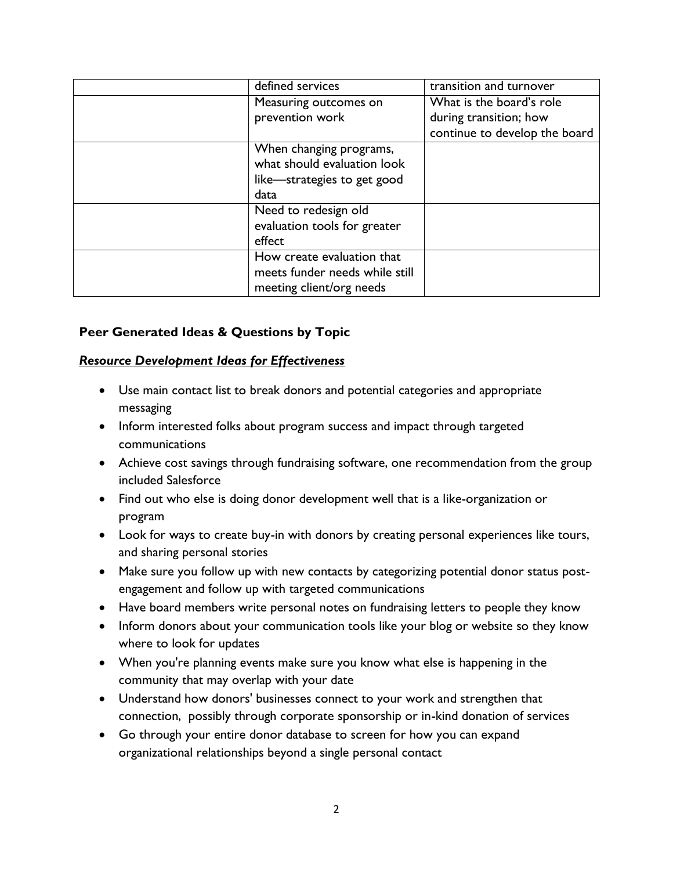| defined services               | transition and turnover       |
|--------------------------------|-------------------------------|
| Measuring outcomes on          | What is the board's role      |
| prevention work                | during transition; how        |
|                                | continue to develop the board |
| When changing programs,        |                               |
| what should evaluation look    |                               |
| like-strategies to get good    |                               |
| data                           |                               |
| Need to redesign old           |                               |
| evaluation tools for greater   |                               |
| effect                         |                               |
| How create evaluation that     |                               |
| meets funder needs while still |                               |
| meeting client/org needs       |                               |

#### **Peer Generated Ideas & Questions by Topic**

#### *Resource Development Ideas for Effectiveness*

- Use main contact list to break donors and potential categories and appropriate messaging
- Inform interested folks about program success and impact through targeted communications
- Achieve cost savings through fundraising software, one recommendation from the group included Salesforce
- Find out who else is doing donor development well that is a like-organization or program
- Look for ways to create buy-in with donors by creating personal experiences like tours, and sharing personal stories
- Make sure you follow up with new contacts by categorizing potential donor status postengagement and follow up with targeted communications
- Have board members write personal notes on fundraising letters to people they know
- Inform donors about your communication tools like your blog or website so they know where to look for updates
- When you're planning events make sure you know what else is happening in the community that may overlap with your date
- Understand how donors' businesses connect to your work and strengthen that connection, possibly through corporate sponsorship or in-kind donation of services
- Go through your entire donor database to screen for how you can expand organizational relationships beyond a single personal contact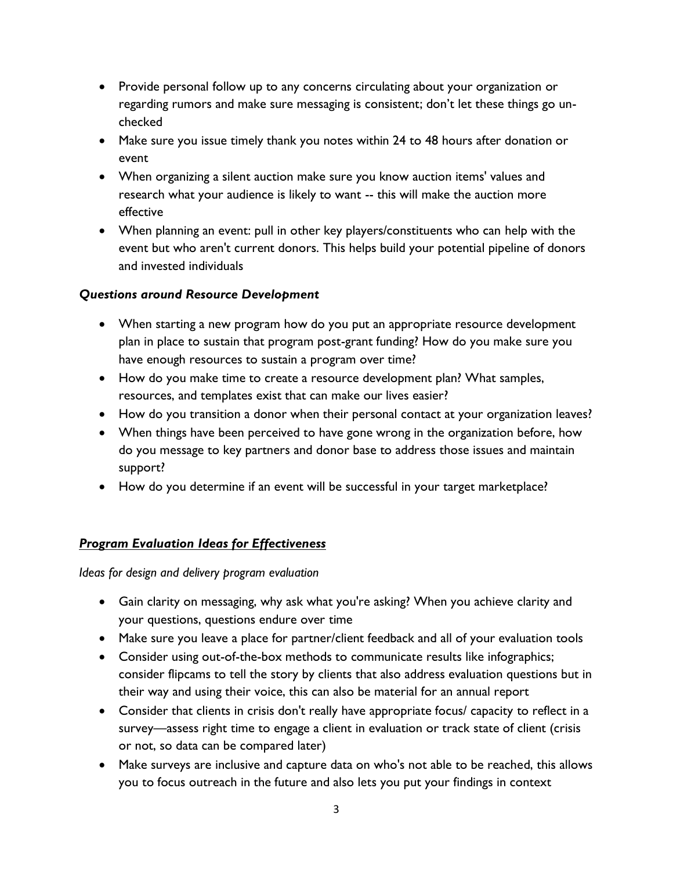- Provide personal follow up to any concerns circulating about your organization or regarding rumors and make sure messaging is consistent; don·t let these things go unchecked
- Make sure you issue timely thank you notes within 24 to 48 hours after donation or event
- When organizing a silent auction make sure you know auction items' values and research what your audience is likely to want -- this will make the auction more effective
- When planning an event: pull in other key players/constituents who can help with the event but who aren't current donors. This helps build your potential pipeline of donors and invested individuals

### *Questions around Resource Development*

- When starting a new program how do you put an appropriate resource development plan in place to sustain that program post-grant funding? How do you make sure you have enough resources to sustain a program over time?
- How do you make time to create a resource development plan? What samples, resources, and templates exist that can make our lives easier?
- How do you transition a donor when their personal contact at your organization leaves?
- When things have been perceived to have gone wrong in the organization before, how do you message to key partners and donor base to address those issues and maintain support?
- How do you determine if an event will be successful in your target marketplace?

## *Program Evaluation Ideas for Effectiveness*

*Ideas for design and delivery program evaluation*

- Gain clarity on messaging, why ask what you're asking? When you achieve clarity and your questions, questions endure over time
- Make sure you leave a place for partner/client feedback and all of your evaluation tools
- Consider using out-of-the-box methods to communicate results like infographics; consider flipcams to tell the story by clients that also address evaluation questions but in their way and using their voice, this can also be material for an annual report
- Consider that clients in crisis don't really have appropriate focus/ capacity to reflect in a survey—assess right time to engage a client in evaluation or track state of client (crisis or not, so data can be compared later)
- Make surveys are inclusive and capture data on who's not able to be reached, this allows you to focus outreach in the future and also lets you put your findings in context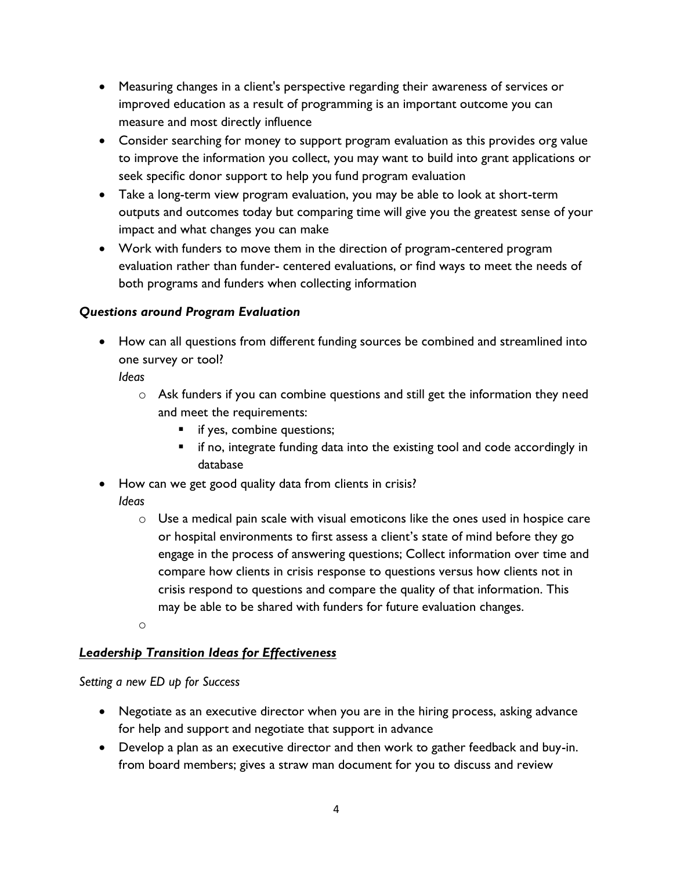- Measuring changes in a client's perspective regarding their awareness of services or improved education as a result of programming is an important outcome you can measure and most directly influence
- Consider searching for money to support program evaluation as this provides org value to improve the information you collect, you may want to build into grant applications or seek specific donor support to help you fund program evaluation
- Take a long-term view program evaluation, you may be able to look at short-term outputs and outcomes today but comparing time will give you the greatest sense of your impact and what changes you can make
- Work with funders to move them in the direction of program-centered program evaluation rather than funder- centered evaluations, or find ways to meet the needs of both programs and funders when collecting information

## *Questions around Program Evaluation*

• How can all questions from different funding sources be combined and streamlined into one survey or tool?

*Ideas*

- o Ask funders if you can combine questions and still get the information they need and meet the requirements:
	- **if yes, combine questions;**
	- **if no, integrate funding data into the existing tool and code accordingly in** database
- How can we get good quality data from clients in crisis? *Ideas*
	- $\circ$  Use a medical pain scale with visual emoticons like the ones used in hospice care or hospital environments to first assess a client·s state of mind before they go engage in the process of answering questions; Collect information over time and compare how clients in crisis response to questions versus how clients not in crisis respond to questions and compare the quality of that information. This may be able to be shared with funders for future evaluation changes.
	- o

## *Leadership Transition Ideas for Effectiveness*

#### *Setting a new ED up for Success*

- Negotiate as an executive director when you are in the hiring process, asking advance for help and support and negotiate that support in advance
- Develop a plan as an executive director and then work to gather feedback and buy-in. from board members; gives a straw man document for you to discuss and review